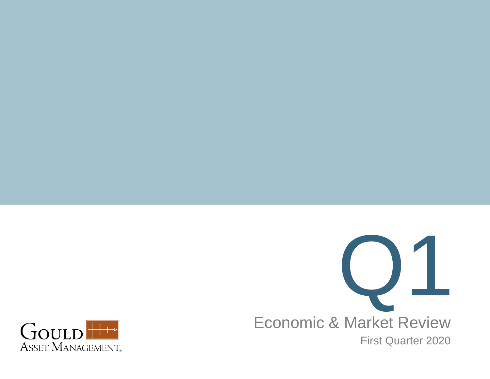

Economic & Market Review First Quarter 2020

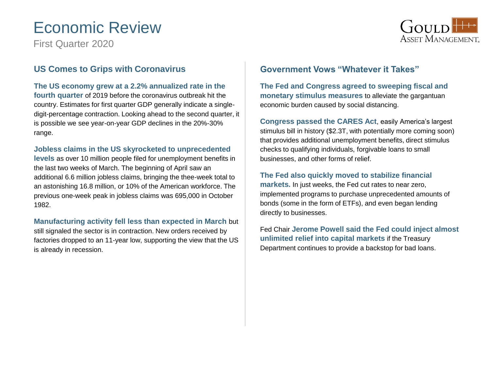# Economic Review

First Quarter 2020



### **US Comes to Grips with Coronavirus**

**The US economy grew at a 2.2% annualized rate in the fourth quarter** of 2019 before the coronavirus outbreak hit the country. Estimates for first quarter GDP generally indicate a singledigit-percentage contraction. Looking ahead to the second quarter, it is possible we see year-on-year GDP declines in the 20%-30% range.

#### **Jobless claims in the US skyrocketed to unprecedented**

**levels** as over 10 million people filed for unemployment benefits in the last two weeks of March. The beginning of April saw an additional 6.6 million jobless claims, bringing the thee-week total to an astonishing 16.8 million, or 10% of the American workforce. The previous one-week peak in jobless claims was 695,000 in October 1982.

**Manufacturing activity fell less than expected in March** but still signaled the sector is in contraction. New orders received by factories dropped to an 11-year low, supporting the view that the US is already in recession.

### **Government Vows "Whatever it Takes"**

**The Fed and Congress agreed to sweeping fiscal and monetary stimulus measures** to alleviate the gargantuan economic burden caused by social distancing.

**Congress passed the CARES Act**, easily America's largest stimulus bill in history (\$2.3T, with potentially more coming soon) that provides additional unemployment benefits, direct stimulus checks to qualifying individuals, forgivable loans to small businesses, and other forms of relief.

#### **The Fed also quickly moved to stabilize financial**

**markets.** In just weeks, the Fed cut rates to near zero, implemented programs to purchase unprecedented amounts of bonds (some in the form of ETFs), and even began lending directly to businesses.

Fed Chair **Jerome Powell said the Fed could inject almost unlimited relief into capital markets** if the Treasury Department continues to provide a backstop for bad loans.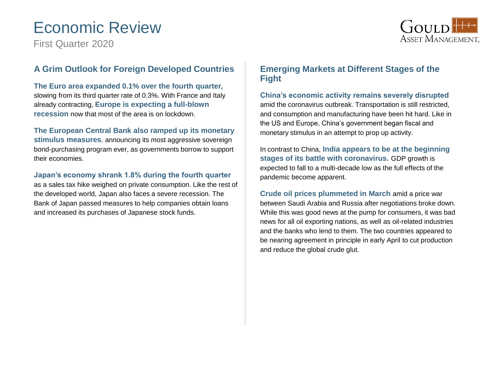# Economic Review

First Quarter 2020



### **A Grim Outlook for Foreign Developed Countries**

**The Euro area expanded 0.1% over the fourth quarter,**  slowing from its third quarter rate of 0.3%. With France and Italy already contracting, **Europe is expecting a full-blown recession** now that most of the area is on lockdown.

#### **The European Central Bank also ramped up its monetary stimulus measures**, announcing its most aggressive sovereign

bond-purchasing program ever, as governments borrow to support their economies.

#### **Japan's economy shrank 1.8% during the fourth quarter**

as a sales tax hike weighed on private consumption. Like the rest of the developed world, Japan also faces a severe recession. The Bank of Japan passed measures to help companies obtain loans and increased its purchases of Japanese stock funds.

### **Emerging Markets at Different Stages of the Fight**

**China's economic activity remains severely disrupted** amid the coronavirus outbreak. Transportation is still restricted, and consumption and manufacturing have been hit hard. Like in the US and Europe, China's government began fiscal and monetary stimulus in an attempt to prop up activity.

In contrast to China, **India appears to be at the beginning stages of its battle with coronavirus.** GDP growth is expected to fall to a multi-decade low as the full effects of the pandemic become apparent.

**Crude oil prices plummeted in March** amid a price war between Saudi Arabia and Russia after negotiations broke down. While this was good news at the pump for consumers, it was bad news for all oil exporting nations, as well as oil-related industries and the banks who lend to them. The two countries appeared to be nearing agreement in principle in early April to cut production and reduce the global crude glut.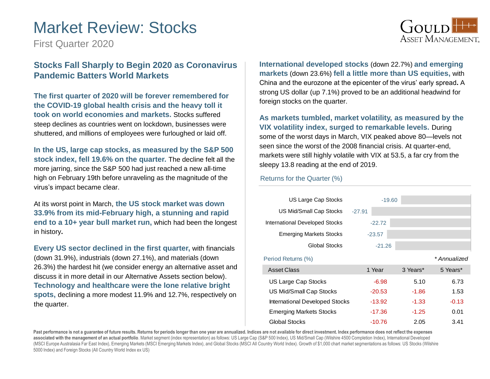## Market Review: Stocks

First Quarter 2020



### **Stocks Fall Sharply to Begin 2020 as Coronavirus Pandemic Batters World Markets**

**The first quarter of 2020 will be forever remembered for the COVID-19 global health crisis and the heavy toll it took on world economies and markets.** Stocks suffered steep declines as countries went on lockdown, businesses were shuttered, and millions of employees were furloughed or laid off.

**In the US, large cap stocks, as measured by the S&P 500 stock index, fell 19.6% on the quarter.** The decline felt all the more jarring, since the S&P 500 had just reached a new all-time high on February 19th before unraveling as the magnitude of the virus's impact became clear.

At its worst point in March, **the US stock market was down 33.9% from its mid-February high, a stunning and rapid end to a 10+ year bull market run,** which had been the longest in history**.**

**Every US sector declined in the first quarter,** with financials (down 31.9%), industrials (down 27.1%), and materials (down 26.3%) the hardest hit (we consider energy an alternative asset and discuss it in more detail in our Alternative Assets section below). **Technology and healthcare were the lone relative bright spots,** declining a more modest 11.9% and 12.7%, respectively on the quarter.

**International developed stocks** (down 22.7%) **and emerging markets** (down 23.6%) **fell a little more than US equities,** with China and the eurozone at the epicenter of the virus' early spread**.** A strong US dollar (up 7.1%) proved to be an additional headwind for foreign stocks on the quarter.

**As markets tumbled, market volatility, as measured by the VIX volatility index, surged to remarkable levels.** During some of the worst days in March, VIX peaked above 80—levels not seen since the worst of the 2008 financial crisis. At quarter-end, markets were still highly volatile with VIX at 53.5, a far cry from the sleepy 13.8 reading at the end of 2019.

#### Returns for the Quarter (%)

| US Large Cap Stocks            | $-19.60$ |          |              |
|--------------------------------|----------|----------|--------------|
| US Mid/Small Cap Stocks        | $-27.91$ |          |              |
| International Developed Stocks | $-22.72$ |          |              |
| <b>Emerging Markets Stocks</b> | $-23.57$ |          |              |
| Global Stocks                  | $-21.26$ |          |              |
| Period Returns (%)             |          |          | * Annualized |
| Asset Class                    | 1 Year   | 3 Years* | 5 Years*     |
| US Large Cap Stocks            | $-6.98$  | 5.10     | 6.73         |
| US Mid/Small Cap Stocks        | $-20.53$ | $-1.86$  | 1.53         |
| International Developed Stocks | $-13.92$ | $-1.33$  | $-0.13$      |
| <b>Emerging Markets Stocks</b> | $-17.36$ | $-1.25$  | 0.01         |
| <b>Global Stocks</b>           | $-10.76$ | 2.05     | 3.41         |

Past performance is not a guarantee of future results. Returns for periods longer than one year are annualized. Indices are not available for direct investment. Index performance does not reflect the expenses **associated with the management of an actual portfolio**. Market segment (index representation) as follows: US Large Cap (S&P 500 Index), US Mid/Small Cap (Wilshire 4500 Completion Index), International Developed (MSCI Europe Australasia Far East Index), Emerging Markets (MSCI Emerging Markets Index), and Global Stocks (MSCI All Country World Index). Growth of \$1,000 chart market segmentations as follows: US Stocks (Wilshire 5000 Index) and Foreign Stocks (All Country World Index ex US)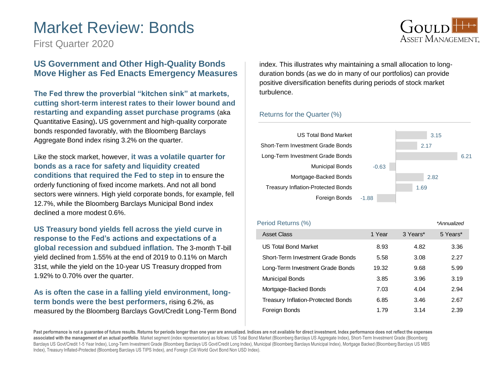## Market Review: Bonds

First Quarter 2020

#### **US Government and Other High-Quality Bonds Move Higher as Fed Enacts Emergency Measures**

**The Fed threw the proverbial "kitchen sink" at markets, cutting short-term interest rates to their lower bound and restarting and expanding asset purchase programs** (aka Quantitative Easing)**.** US government and high-quality corporate bonds responded favorably, with the Bloomberg Barclays Aggregate Bond index rising 3.2% on the quarter.

Like the stock market, however, **it was a volatile quarter for bonds as a race for safety and liquidity created conditions that required the Fed to step in** to ensure the orderly functioning of fixed income markets. And not all bond sectors were winners. High yield corporate bonds, for example, fell 12.7%, while the Bloomberg Barclays Municipal Bond index declined a more modest 0.6%.

**US Treasury bond yields fell across the yield curve in response to the Fed's actions and expectations of a global recession and subdued inflation.** The 3-month T-bill yield declined from 1.55% at the end of 2019 to 0.11% on March 31st, while the yield on the 10-year US Treasury dropped from 1.92% to 0.70% over the quarter.

**As is often the case in a falling yield environment, longterm bonds were the best performers,** rising 6.2%, as measured by the Bloomberg Barclays Govt/Credit Long-Term Bond index. This illustrates why maintaining a small allocation to longduration bonds (as we do in many of our portfolios) can provide positive diversification benefits during periods of stock market turbulence.

#### Returns for the Quarter (%)



| Period Returns (%)                        |        |          | *Annualized |
|-------------------------------------------|--------|----------|-------------|
| <b>Asset Class</b>                        | 1 Year | 3 Years* | 5 Years*    |
| US Total Bond Market                      | 8.93   | 4.82     | 3.36        |
| Short-Term Investment Grade Bonds         | 5.58   | 3.08     | 2.27        |
| Long-Term Investment Grade Bonds          | 19.32  | 9.68     | 5.99        |
| <b>Municipal Bonds</b>                    | 3.85   | 3.96     | 3.19        |
| Mortgage-Backed Bonds                     | 7.03   | 4.04     | 2.94        |
| <b>Treasury Inflation-Protected Bonds</b> | 6.85   | 3.46     | 2.67        |
| Foreign Bonds                             | 1.79   | 3.14     | 2.39        |

Past performance is not a guarantee of future results. Returns for periods longer than one year are annualized. Indices are not available for direct investment. Index performance does not reflect the expenses **associated with the management of an actual portfolio**. Market segment (index representation) as follows: US Total Bond Market (Bloomberg Barclays US Aggregate Index), Short-Term Investment Grade (Bloomberg Barclays US Govt/Credit 1-5 Year Index), Long-Term Investment Grade (Bloomberg Barclays US Govt/Credit Long Index), Municipal (Bloomberg Barclays Municipal Index), Mortgage Backed (Bloomberg Barclays US MBS Index), Treasury Inflated-Protected (Bloomberg Barclays US TIPS Index), and Foreign (Citi World Govt Bond Non USD Index).

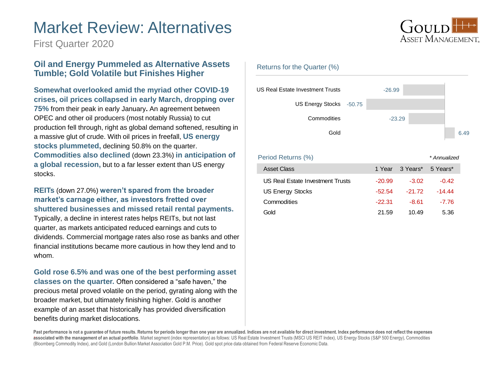## Market Review: Alternatives

First Quarter 2020

### **Oil and Energy Pummeled as Alternative Assets Tumble; Gold Volatile but Finishes Higher**

#### **Somewhat overlooked amid the myriad other COVID-19 crises, oil prices collapsed in early March, dropping over**

**75%** from their peak in early January**.** An agreement between OPEC and other oil producers (most notably Russia) to cut production fell through, right as global demand softened, resulting in a massive glut of crude. With oil prices in freefall, **US energy stocks plummeted,** declining 50.8% on the quarter. **Commodities also declined** (down 23.3%) **in anticipation of a global recession,** but to a far lesser extent than US energy stocks.

#### **REITs** (down 27.0%) **weren't spared from the broader market's carnage either, as investors fretted over shuttered businesses and missed retail rental payments.**

Typically, a decline in interest rates helps REITs, but not last quarter, as markets anticipated reduced earnings and cuts to dividends. Commercial mortgage rates also rose as banks and other financial institutions became more cautious in how they lend and to whom.

**Gold rose 6.5% and was one of the best performing asset classes on the quarter.** Often considered a "safe haven," the precious metal proved volatile on the period, gyrating along with the broader market, but ultimately finishing higher. Gold is another example of an asset that historically has provided diversification benefits during market dislocations.



#### Returns for the Quarter (%)



Period Returns (%) *\* Annualized*

| <b>Asset Class</b>               |          | 1 Year 3 Years* 5 Years* |         |
|----------------------------------|----------|--------------------------|---------|
| US Real Estate Investment Trusts | $-20.99$ | $-3.02$                  | $-0.42$ |
| <b>US Energy Stocks</b>          | $-52.54$ | $-21.72$                 | -14 44  |
| Commodities                      | $-22.31$ | -8.61                    | $-7.76$ |
| Gold                             | 21.59    | 10.49                    | 5.36    |

Past performance is not a guarantee of future results. Returns for periods longer than one year are annualized. Indices are not available for direct investment. Index performance does not reflect the expenses rast performance is not a guarantee of future results. Neturns for periods foriger than one year are amfuallized. Indices are not available for difect investment. Index performance does not reflect the expense:<br>associated (Bloomberg Commodity Index), and Gold (London Bullion Market Association Gold P.M. Price). Gold spot price data obtained from Federal Reserve Economic Data.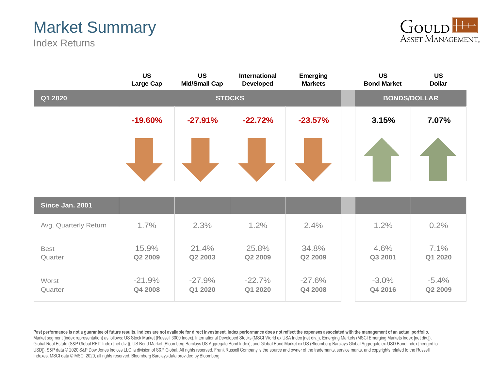# Market Summary

Index Returns



|                        | <b>US</b><br>Large Cap | <b>US</b><br><b>Mid/Small Cap</b> | <b>International</b><br><b>Developed</b> | Emerging<br><b>Markets</b> | <b>US</b><br><b>Bond Market</b> | <b>US</b><br><b>Dollar</b> |
|------------------------|------------------------|-----------------------------------|------------------------------------------|----------------------------|---------------------------------|----------------------------|
| Q1 2020                | <b>STOCKS</b>          |                                   |                                          |                            | <b>BONDS/DOLLAR</b>             |                            |
|                        | $-19.60%$              | $-27.91%$                         | $-22.72%$                                | $-23.57%$                  | 3.15%                           | 7.07%                      |
|                        |                        |                                   |                                          |                            |                                 |                            |
| Since Jan. 2001        |                        |                                   |                                          |                            |                                 |                            |
| Avg. Quarterly Return  | 1.7%                   | 2.3%                              | 1.2%                                     | 2.4%                       | 1.2%                            | 0.2%                       |
| <b>Best</b><br>Quarter | 15.9%<br>Q2 2009       | 21.4%<br>Q2 2003                  | 25.8%<br>Q2 2009                         | 34.8%<br>Q2 2009           | 4.6%<br>Q3 2001                 | 7.1%<br>Q1 2020            |
| Worst<br>Quarter       | $-21.9%$<br>Q4 2008    | $-27.9%$<br>Q1 2020               | $-22.7%$<br>Q1 2020                      | $-27.6%$<br>Q4 2008        | $-3.0\%$<br>Q4 2016             | $-5.4%$<br>Q2 2009         |

Past performance is not a guarantee of future results. Indices are not available for direct investment. Index performance does not reflect the expenses associated with the management of an actual portfolio. Market segment (index representation) as follows: US Stock Market (Russell 3000 Index), International Developed Stocks (MSCI World ex USA Index [net div.]), Emerging Markets (MSCI Emerging Markets Index [net div.]), Global Real Estate (S&P Global REIT Index [net div.]), US Bond Market (Bloomberg Barclays US Aggregate Bond Index), and Global Bond Market ex US (Bloomberg Barclays Global Aggregate ex-USD Bond Index [hedged to USD]). S&P data © 2020 S&P Dow Jones Indices LLC, a division of S&P Global. All rights reserved. Frank Russell Company is the source and owner of the trademarks, service marks, and copyrights related to the Russell Indexes. MSCI data © MSCI 2020, all rights reserved. Bloomberg Barclays data provided by Bloomberg.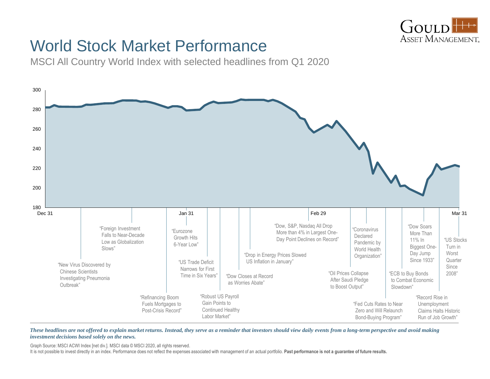

## World Stock Market Performance

MSCI All Country World Index with selected headlines from Q1 2020



*These headlines are not offered to explain market returns. Instead, they serve as a reminder that investors should view daily events from a long-term perspective and avoid making investment decisions based solely on the news.*

Graph Source: MSCI ACWI Index [net div.]. MSCI data © MSCI 2020, all rights reserved.

It is not possible to invest directly in an index. Performance does not reflect the expenses associated with management of an actual portfolio. **Past performance is not a guarantee of future results.**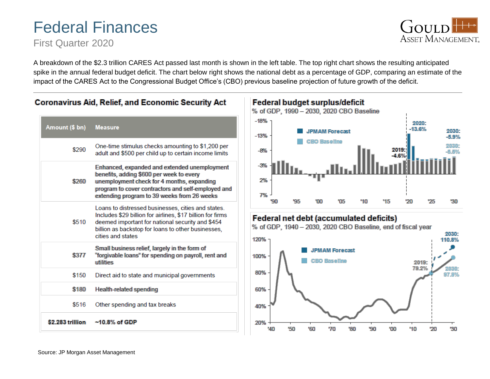# Federal Finances

First Quarter 2020

**GOULD** ASSET MANAGEMENT.

A breakdown of the \$2.3 trillion CARES Act passed last month is shown in the left table. The top right chart shows the resulting anticipated spike in the annual federal budget deficit. The chart below right shows the national debt as a percentage of GDP, comparing an estimate of the impact of the CARES Act to the Congressional Budget Office's (CBO) previous baseline projection of future growth of the deficit.



### **Coronavirus Aid, Relief, and Economic Security Act**

**Federal budget surplus/deficit** 

% of GDP, 1990 - 2030, 2020 CBO Baseline



### **Federal net debt (accumulated deficits)**

% of GDP, 1940 - 2030, 2020 CBO Baseline, end of fiscal year

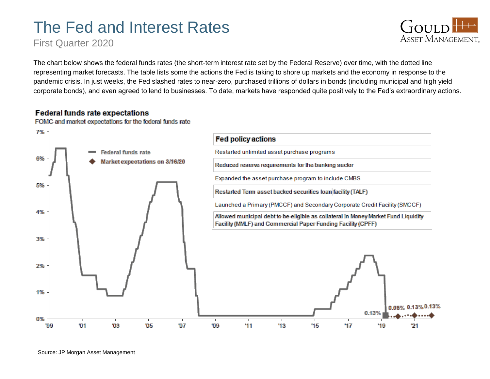# The Fed and Interest Rates

First Quarter 2020



The chart below shows the federal funds rates (the short-term interest rate set by the Federal Reserve) over time, with the dotted line representing market forecasts. The table lists some the actions the Fed is taking to shore up markets and the economy in response to the pandemic crisis. In just weeks, the Fed slashed rates to near-zero, purchased trillions of dollars in bonds (including municipal and high yield corporate bonds), and even agreed to lend to businesses. To date, markets have responded quite positively to the Fed's extraordinary actions.

#### **Federal funds rate expectations**

FOMC and market expectations for the federal funds rate

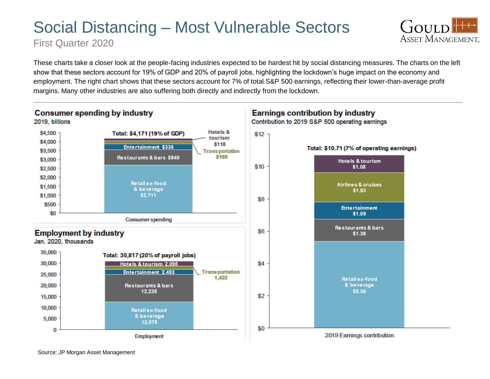# Social Distancing – Most Vulnerable Sectors

First Quarter 2020

These charts take a closer look at the people-facing industries expected to be hardest hit by social distancing measures. The charts on the left show that these sectors account for 19% of GDP and 20% of payroll jobs, highlighting the lockdown's huge impact on the economy and employment. The right chart shows that these sectors account for 7% of total S&P 500 earnings, reflecting their lower-than-average profit margins. Many other industries are also suffering both directly and indirectly from the lockdown.

GOULD

**ASSET MANAGEMENT.** 



Source: JP Morgan Asset Management